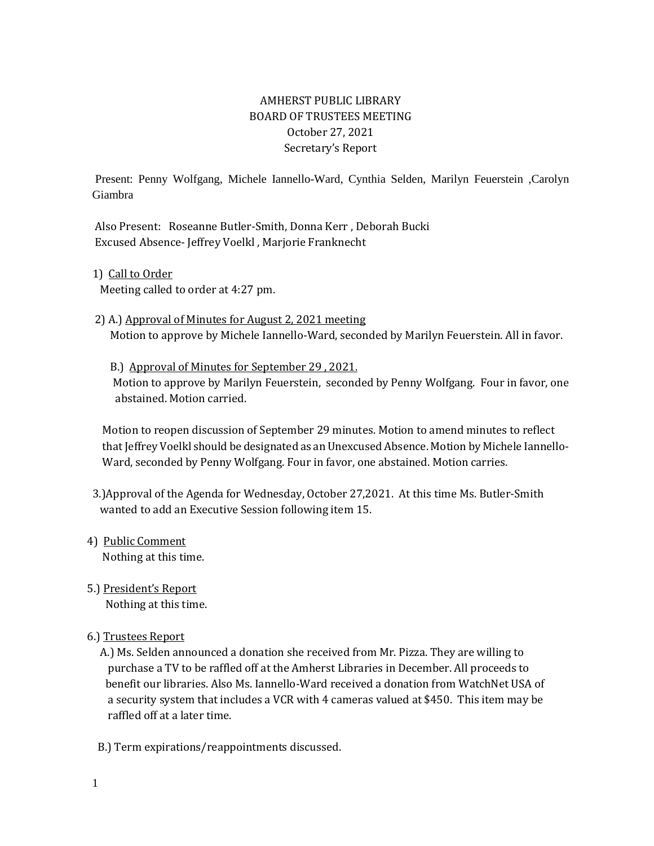# AMHERST PUBLIC LIBRARY BOARD OF TRUSTEES MEETING October 27, 2021 Secretary's Report

Present: Penny Wolfgang, Michele Iannello-Ward, Cynthia Selden, Marilyn Feuerstein ,Carolyn Giambra

 Also Present: Roseanne Butler-Smith, Donna Kerr , Deborah Bucki Excused Absence- Jeffrey Voelkl , Marjorie Franknecht

1) Call to Order

Meeting called to order at 4:27 pm.

2) A.) Approval of Minutes for August 2, 2021 meeting Motion to approve by Michele Iannello-Ward, seconded by Marilyn Feuerstein. All in favor.

 B.) Approval of Minutes for September 29 , 2021. Motion to approve by Marilyn Feuerstein, seconded by Penny Wolfgang. Four in favor, one abstained. Motion carried.

 Motion to reopen discussion of September 29 minutes. Motion to amend minutes to reflect that Jeffrey Voelkl should be designated as an Unexcused Absence. Motion by Michele Iannello- Ward, seconded by Penny Wolfgang. Four in favor, one abstained. Motion carries.

- 3.)Approval of the Agenda for Wednesday, October 27,2021. At this time Ms. Butler-Smith wanted to add an Executive Session following item 15.
- 4) Public Comment Nothing at this time.
- 5.) President's Report Nothing at this time.
- 6.) Trustees Report
	- A.) Ms. Selden announced a donation she received from Mr. Pizza. They are willing to purchase a TV to be raffled off at the Amherst Libraries in December. All proceeds to benefit our libraries. Also Ms. Iannello-Ward received a donation from WatchNet USA of a security system that includes a VCR with 4 cameras valued at \$450. This item may be raffled off at a later time.
	- B.) Term expirations/reappointments discussed.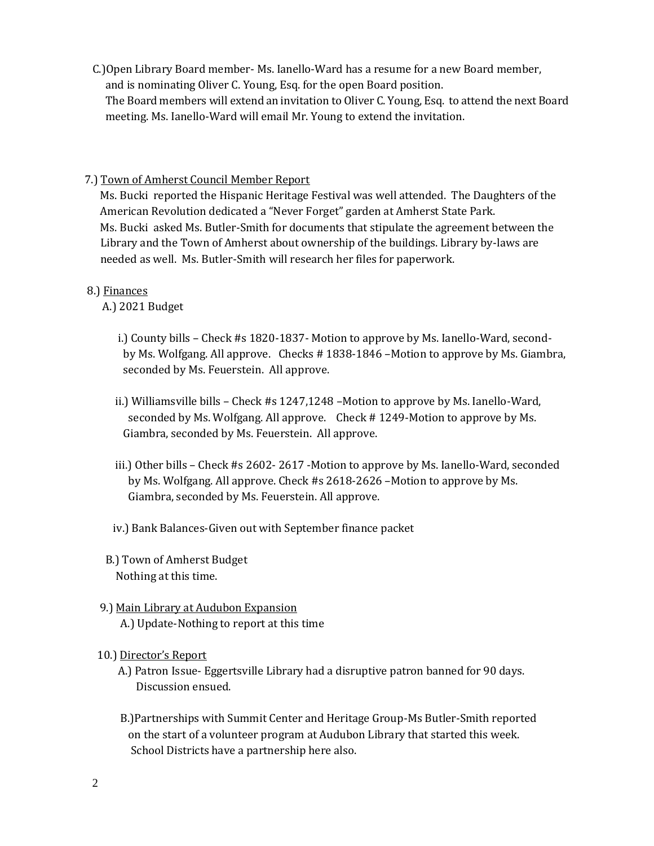C.)Open Library Board member- Ms. Ianello-Ward has a resume for a new Board member, and is nominating Oliver C. Young, Esq. for the open Board position. The Board members will extend an invitation to Oliver C. Young, Esq. to attend the next Board meeting. Ms. Ianello-Ward will email Mr. Young to extend the invitation.

### 7.) Town of Amherst Council Member Report

 Ms. Bucki reported the Hispanic Heritage Festival was well attended. The Daughters of the American Revolution dedicated a "Never Forget" garden at Amherst State Park. Ms. Bucki asked Ms. Butler-Smith for documents that stipulate the agreement between the Library and the Town of Amherst about ownership of the buildings. Library by-laws are needed as well. Ms. Butler-Smith will research her files for paperwork.

## 8.) Finances

A.) 2021 Budget

- i.) County bills Check #s 1820-1837- Motion to approve by Ms. Ianello-Ward, second by Ms. Wolfgang. All approve. Checks # 1838-1846 –Motion to approve by Ms. Giambra, seconded by Ms. Feuerstein. All approve.
- ii.) Williamsville bills Check #s 1247,1248 –Motion to approve by Ms. Ianello-Ward, seconded by Ms. Wolfgang. All approve. Check # 1249-Motion to approve by Ms. Giambra, seconded by Ms. Feuerstein. All approve.
- iii.) Other bills Check #s 2602- 2617 -Motion to approve by Ms. Ianello-Ward, seconded by Ms. Wolfgang. All approve. Check #s 2618-2626 –Motion to approve by Ms. Giambra, seconded by Ms. Feuerstein. All approve.
- iv.) Bank Balances-Given out with September finance packet
- B.) Town of Amherst Budget Nothing at this time.
- 9.) Main Library at Audubon Expansion A.) Update-Nothing to report at this time

## 10.) Director's Report

- A.) Patron Issue- Eggertsville Library had a disruptive patron banned for 90 days. Discussion ensued.
- B.)Partnerships with Summit Center and Heritage Group-Ms Butler-Smith reported on the start of a volunteer program at Audubon Library that started this week. School Districts have a partnership here also.